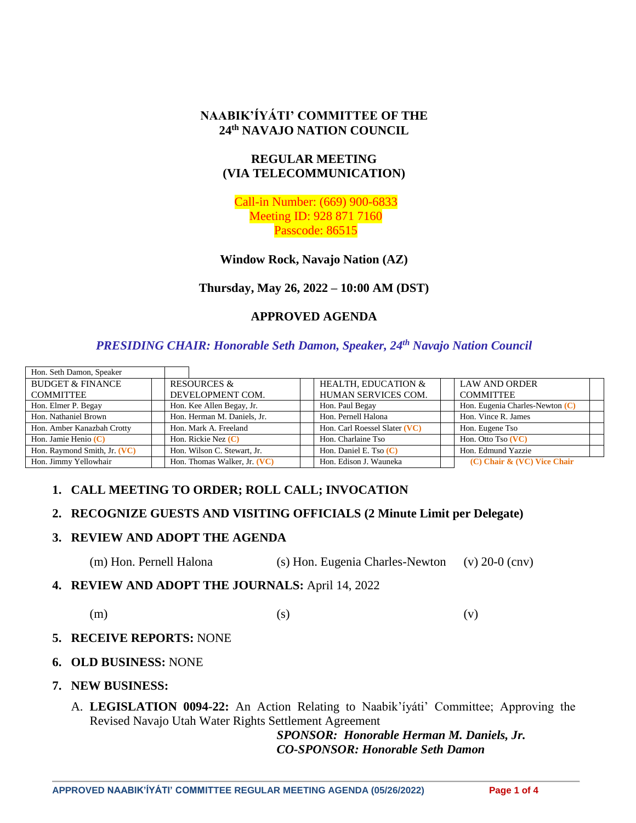# **NAABIK'ÍYÁTI' COMMITTEE OF THE 24th NAVAJO NATION COUNCIL**

# **REGULAR MEETING (VIA TELECOMMUNICATION)**

Call-in Number: (669) 900-6833 Meeting ID: 928 871 7160 Passcode: 86515

**Window Rock, Navajo Nation (AZ)**

**Thursday, May 26, 2022 – 10:00 AM (DST)**

# **APPROVED AGENDA**

# *PRESIDING CHAIR: Honorable Seth Damon, Speaker, 24th Navajo Nation Council*

| Hon. Seth Damon, Speaker     |                              |                                |                                   |
|------------------------------|------------------------------|--------------------------------|-----------------------------------|
| <b>BUDGET &amp; FINANCE</b>  | <b>RESOURCES &amp;</b>       | <b>HEALTH. EDUCATION &amp;</b> | <b>LAW AND ORDER</b>              |
| <b>COMMITTEE</b>             | DEVELOPMENT COM.             | HUMAN SERVICES COM.            | <b>COMMITTEE</b>                  |
| Hon. Elmer P. Begay          | Hon. Kee Allen Begay, Jr.    | Hon. Paul Begay                | Hon. Eugenia Charles-Newton $(C)$ |
| Hon. Nathaniel Brown         | Hon. Herman M. Daniels, Jr.  | Hon. Pernell Halona            | Hon. Vince R. James               |
| Hon. Amber Kanazbah Crotty   | Hon. Mark A. Freeland        | Hon. Carl Roessel Slater (VC)  | Hon. Eugene Tso                   |
| Hon. Jamie Henio (C)         | Hon. Rickie Nez $(C)$        | Hon. Charlaine Tso             | Hon. Otto Tso (VC)                |
| Hon. Raymond Smith, Jr. (VC) | Hon. Wilson C. Stewart, Jr.  | Hon. Daniel E. Tso $(C)$       | Hon. Edmund Yazzie                |
| Hon. Jimmy Yellowhair        | Hon. Thomas Walker, Jr. (VC) | Hon. Edison J. Wauneka         | $(C)$ Chair & $(VC)$ Vice Chair   |

# **1. CALL MEETING TO ORDER; ROLL CALL; INVOCATION**

# **2. RECOGNIZE GUESTS AND VISITING OFFICIALS (2 Minute Limit per Delegate)**

### **3. REVIEW AND ADOPT THE AGENDA**

(m) Hon. Pernell Halona (s) Hon. Eugenia Charles-Newton (v) 20-0 (cnv)

**4. REVIEW AND ADOPT THE JOURNALS:** April 14, 2022

$$
\text{(m)}\qquad \qquad \text{(s)}\qquad \qquad \text{(v)}
$$

### **5. RECEIVE REPORTS:** NONE

- **6. OLD BUSINESS:** NONE
- **7. NEW BUSINESS:**
	- A. **LEGISLATION 0094-22:** An Action Relating to Naabik'íyáti' Committee; Approving the Revised Navajo Utah Water Rights Settlement Agreement

*SPONSOR: Honorable Herman M. Daniels, Jr. CO-SPONSOR: Honorable Seth Damon*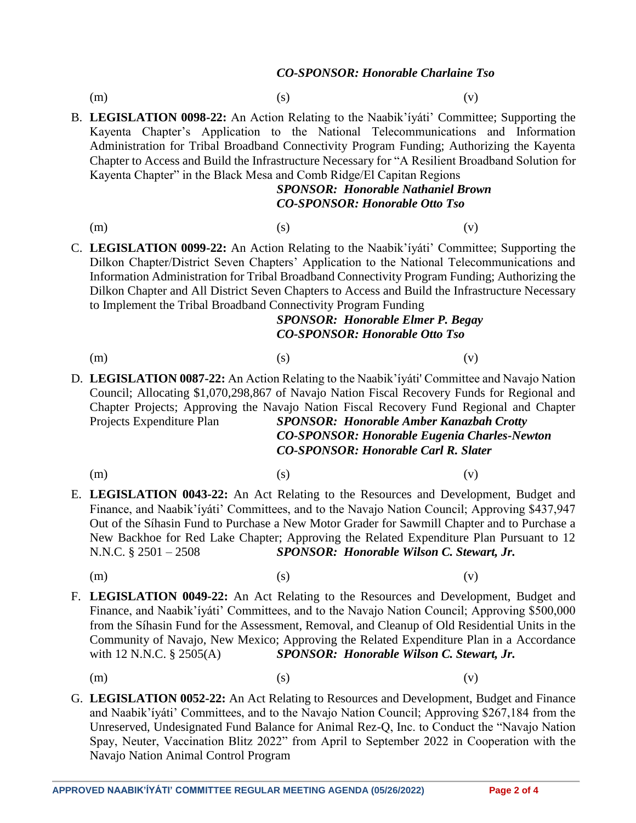#### *CO-SPONSOR: Honorable Charlaine Tso*

- 
- (m)  $(s)$  (c)

B. **LEGISLATION 0098-22:** An Action Relating to the Naabik'íyáti' Committee; Supporting the Kayenta Chapter's Application to the National Telecommunications and Information Administration for Tribal Broadband Connectivity Program Funding; Authorizing the Kayenta Chapter to Access and Build the Infrastructure Necessary for "A Resilient Broadband Solution for Kayenta Chapter" in the Black Mesa and Comb Ridge/El Capitan Regions

# *SPONSOR: Honorable Nathaniel Brown CO-SPONSOR: Honorable Otto Tso*

(m)  $(s)$  (c)

C. **LEGISLATION 0099-22:** An Action Relating to the Naabik'íyáti' Committee; Supporting the Dilkon Chapter/District Seven Chapters' Application to the National Telecommunications and Information Administration for Tribal Broadband Connectivity Program Funding; Authorizing the Dilkon Chapter and All District Seven Chapters to Access and Build the Infrastructure Necessary to Implement the Tribal Broadband Connectivity Program Funding

## *SPONSOR: Honorable Elmer P. Begay CO-SPONSOR: Honorable Otto Tso*

(m)  $(s)$  (c)

- D. **LEGISLATION 0087-22:** An Action Relating to the Naabik'íyáti' Committee and Navajo Nation Council; Allocating \$1,070,298,867 of Navajo Nation Fiscal Recovery Funds for Regional and Chapter Projects; Approving the Navajo Nation Fiscal Recovery Fund Regional and Chapter Projects Expenditure Plan *SPONSOR: Honorable Amber Kanazbah Crotty CO-SPONSOR: Honorable Eugenia Charles-Newton CO-SPONSOR: Honorable Carl R. Slater*
	-
	- (m)  $(s)$  (c)
- E. **LEGISLATION 0043-22:** An Act Relating to the Resources and Development, Budget and Finance, and Naabik'íyáti' Committees, and to the Navajo Nation Council; Approving \$437,947 Out of the Síhasin Fund to Purchase a New Motor Grader for Sawmill Chapter and to Purchase a New Backhoe for Red Lake Chapter; Approving the Related Expenditure Plan Pursuant to 12 N.N.C. § 2501 – 2508 *SPONSOR: Honorable Wilson C. Stewart, Jr.*
	-

(m)  $(s)$  (c)

- F. **LEGISLATION 0049-22:** An Act Relating to the Resources and Development, Budget and Finance, and Naabik'íyáti' Committees, and to the Navajo Nation Council; Approving \$500,000 from the Síhasin Fund for the Assessment, Removal, and Cleanup of Old Residential Units in the Community of Navajo, New Mexico; Approving the Related Expenditure Plan in a Accordance with 12 N.N.C. § 2505(A) **SPONSOR: Honorable Wilson C. Stewart, Jr.** 
	- (m)  $(s)$  (c)
- G. **LEGISLATION 0052-22:** An Act Relating to Resources and Development, Budget and Finance and Naabik'íyáti' Committees, and to the Navajo Nation Council; Approving \$267,184 from the Unreserved, Undesignated Fund Balance for Animal Rez-Q, Inc. to Conduct the "Navajo Nation Spay, Neuter, Vaccination Blitz 2022" from April to September 2022 in Cooperation with the Navajo Nation Animal Control Program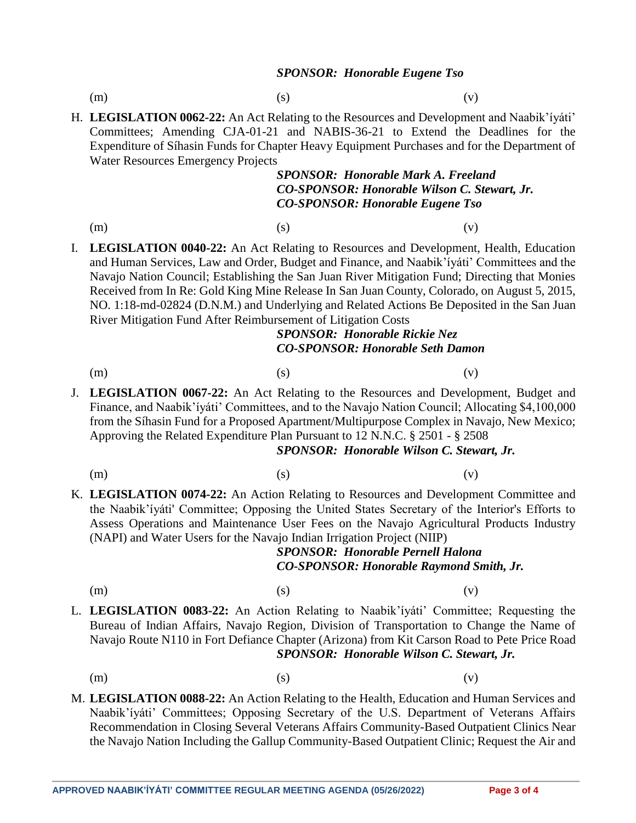#### *SPONSOR: Honorable Eugene Tso*

- (m)  $(s)$  (c)
- H. **LEGISLATION 0062-22:** An Act Relating to the Resources and Development and Naabik'íyáti' Committees; Amending CJA-01-21 and NABIS-36-21 to Extend the Deadlines for the Expenditure of Síhasin Funds for Chapter Heavy Equipment Purchases and for the Department of Water Resources Emergency Projects

## *SPONSOR: Honorable Mark A. Freeland CO-SPONSOR: Honorable Wilson C. Stewart, Jr. CO-SPONSOR: Honorable Eugene Tso*

- (m)  $(s)$  (c)
- I. **LEGISLATION 0040-22:** An Act Relating to Resources and Development, Health, Education and Human Services, Law and Order, Budget and Finance, and Naabik'íyáti' Committees and the Navajo Nation Council; Establishing the San Juan River Mitigation Fund; Directing that Monies Received from In Re: Gold King Mine Release In San Juan County, Colorado, on August 5, 2015, NO. 1:18-md-02824 (D.N.M.) and Underlying and Related Actions Be Deposited in the San Juan River Mitigation Fund After Reimbursement of Litigation Costs

# *SPONSOR: Honorable Rickie Nez CO-SPONSOR: Honorable Seth Damon*

- (m)  $(s)$  (c)
- J. **LEGISLATION 0067-22:** An Act Relating to the Resources and Development, Budget and Finance, and Naabik'íyáti' Committees, and to the Navajo Nation Council; Allocating \$4,100,000 from the Síhasin Fund for a Proposed Apartment/Multipurpose Complex in Navajo, New Mexico; Approving the Related Expenditure Plan Pursuant to 12 N.N.C. § 2501 - § 2508

#### *SPONSOR: Honorable Wilson C. Stewart, Jr.*

- 
- (m)  $(s)$  (c)
- K. **LEGISLATION 0074-22:** An Action Relating to Resources and Development Committee and the Naabik'íyáti' Committee; Opposing the United States Secretary of the Interior's Efforts to Assess Operations and Maintenance User Fees on the Navajo Agricultural Products Industry (NAPI) and Water Users for the Navajo Indian Irrigation Project (NIIP)

# *SPONSOR: Honorable Pernell Halona CO-SPONSOR: Honorable Raymond Smith, Jr.*

- 
- (m)  $(s)$  (c)
- L. **LEGISLATION 0083-22:** An Action Relating to Naabik'íyáti' Committee; Requesting the Bureau of Indian Affairs, Navajo Region, Division of Transportation to Change the Name of Navajo Route N110 in Fort Defiance Chapter (Arizona) from Kit Carson Road to Pete Price Road *SPONSOR: Honorable Wilson C. Stewart, Jr.*
	- (m)  $(s)$  (c)
- M. **LEGISLATION 0088-22:** An Action Relating to the Health, Education and Human Services and Naabik'íyáti' Committees; Opposing Secretary of the U.S. Department of Veterans Affairs Recommendation in Closing Several Veterans Affairs Community-Based Outpatient Clinics Near the Navajo Nation Including the Gallup Community-Based Outpatient Clinic; Request the Air and